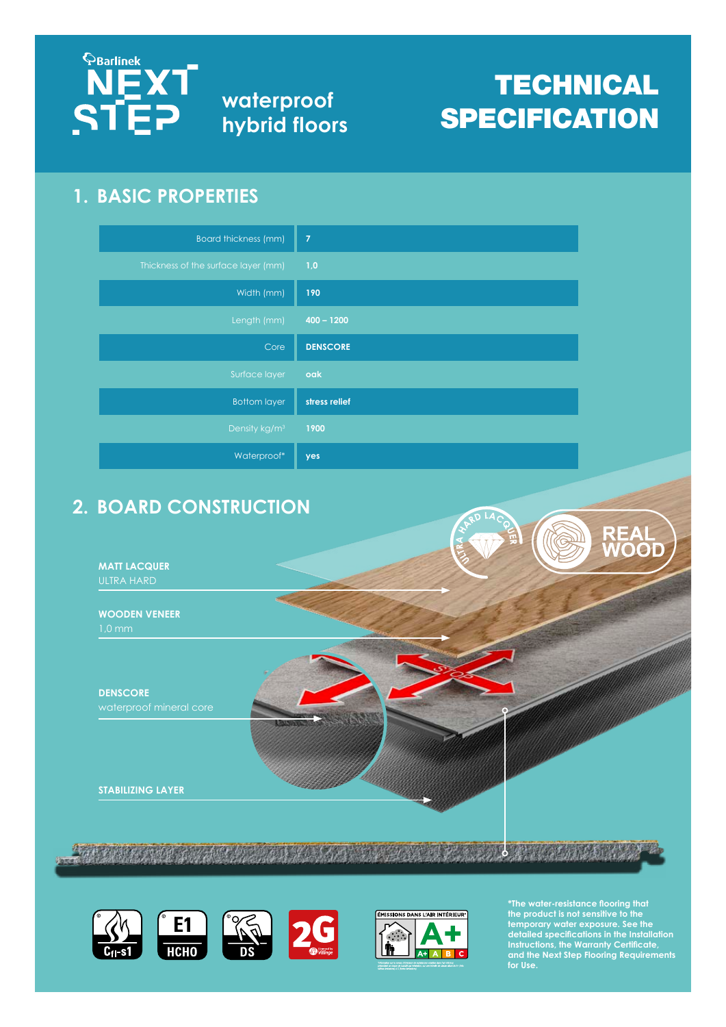

**waterproof hybrid floors**

# **TECHNICAL SPECIFICATION**

#### **1. BASIC PROPERTIES**

| <b>Board thickness (mm)</b>         | $\overline{7}$  |
|-------------------------------------|-----------------|
| Thickness of the surface layer (mm) | 1,0             |
| Width (mm)                          | 190             |
| Length (mm)                         | $400 - 1200$    |
| Core                                | <b>DENSCORE</b> |
| Surface layer                       | oak             |
| <b>Bottom layer</b>                 | stress relief   |
| Density kg/m <sup>3</sup>           | 1900            |
| Waterproof*                         | yes             |

## **2. BOARD CONSTRUCTION**

**MATT LACQUER**

**WOODEN VENEER**

**DENSCORE**

**STABILIZING LAYER**







**\*The water-resistance flooring that the product is not sensitive to the temporary water exposure. See the detailed specifications in the Installation Instructions, the Warranty Certificate, and the Next Step Flooring Requirements for Use.**

**REAL<br>WOOD**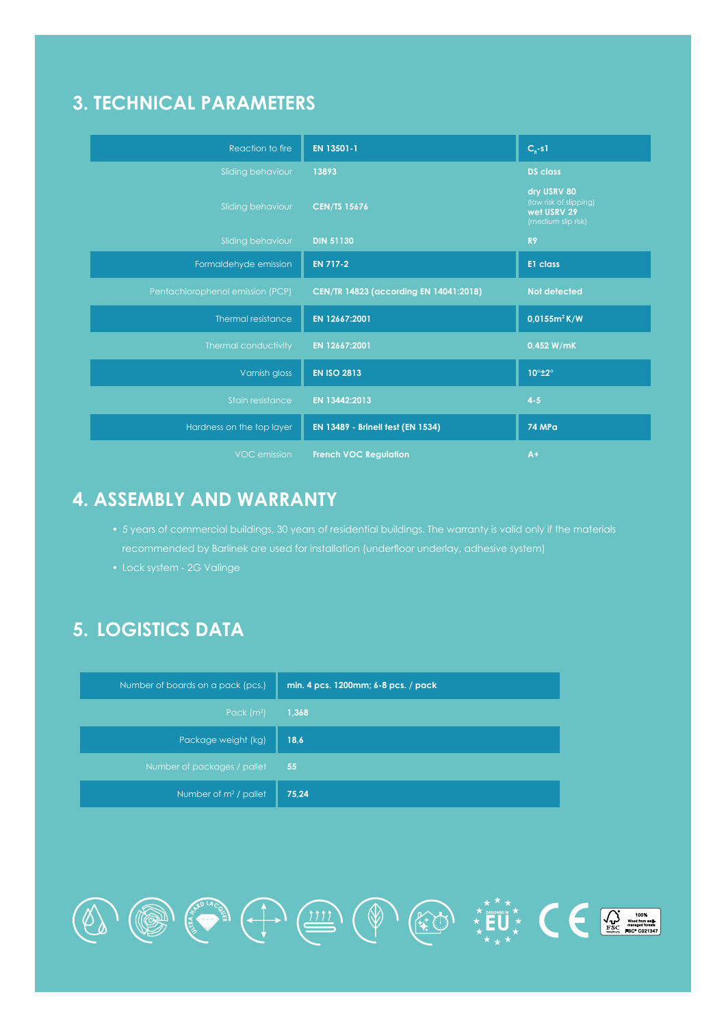#### **3. TECHNICAL PARAMETERS**

| Reaction to fire                 | EN 13501-1                             | $C_{n}$ -s1                                                                |
|----------------------------------|----------------------------------------|----------------------------------------------------------------------------|
| Sliding behaviour                | 13893                                  | <b>DS</b> class                                                            |
| Sliding behaviour                | <b>CEN/TS 15676</b>                    | dry USRV 80<br>(low risk of slipping)<br>wet USRV 29<br>(medium slip risk) |
| Sliding behaviour                | <b>DIN 51130</b>                       | R <sub>9</sub>                                                             |
| Formaldehyde emission            | <b>EN 717-2</b>                        | E1 class                                                                   |
| Pentachlorophenol emission (PCP) | CEN/TR 14823 (according EN 14041:2018) | Not detected                                                               |
| Thermal resistance               | EN 12667:2001                          | $0.0155m^2K/W$                                                             |
| Thermal conductivity             | EN 12667:2001                          | 0,452 W/mK                                                                 |
| Varnish gloss                    | <b>EN ISO 2813</b>                     | 10°±2°                                                                     |
| Stain resistance                 | EN 13442:2013                          | $4 - 5$                                                                    |
| Hardness on the top layer        | EN 13489 - Brinell test (EN 1534)      | <b>74 MPa</b>                                                              |
| VOC emission                     | <b>French VOC Regulation</b>           | $A+$                                                                       |

#### **4. ASSEMBLY AND WARRANTY**

• 5 years of commercial buildings, 30 years of residential buildings. The warranty is valid only if the materials

OF CONSIDERATION

• Lock system - 2G Valinge

# **5. LOGISTICS DATA**

| Number of boards on a pack (pcs.) | min. 4 pcs. 1200mm; 6-8 pcs. / pack |
|-----------------------------------|-------------------------------------|
| Pack $(m2)$                       | 1,368                               |
| Package weight (kg)               | 18,6                                |
| Number of packages / pallet       | 55                                  |
| Number of $m2$ / pallet           | 75,24                               |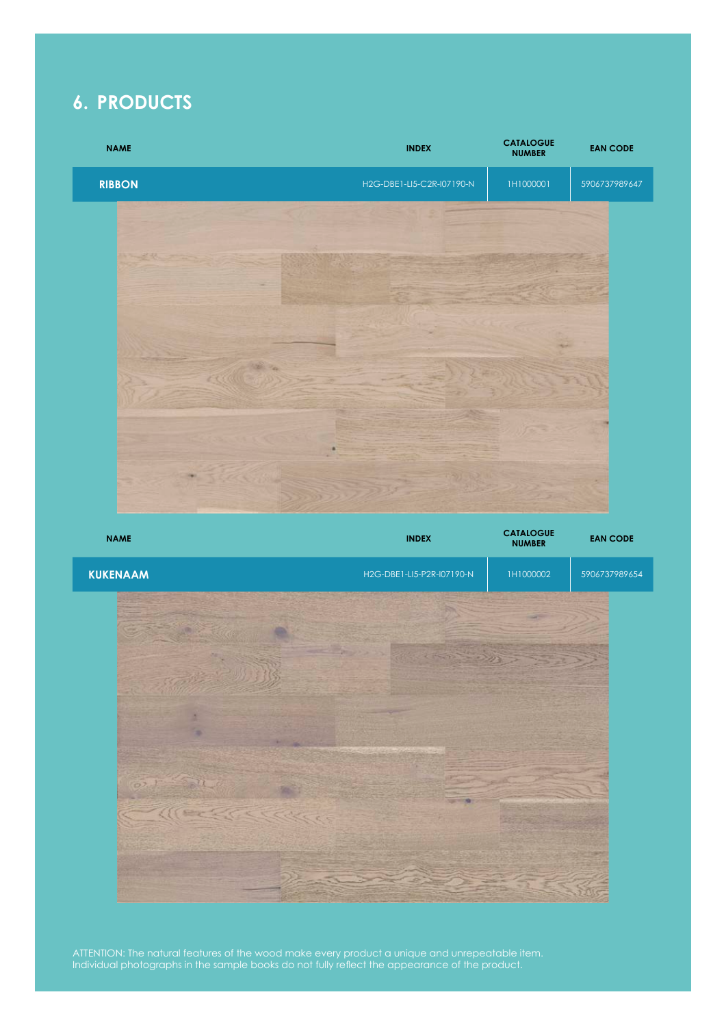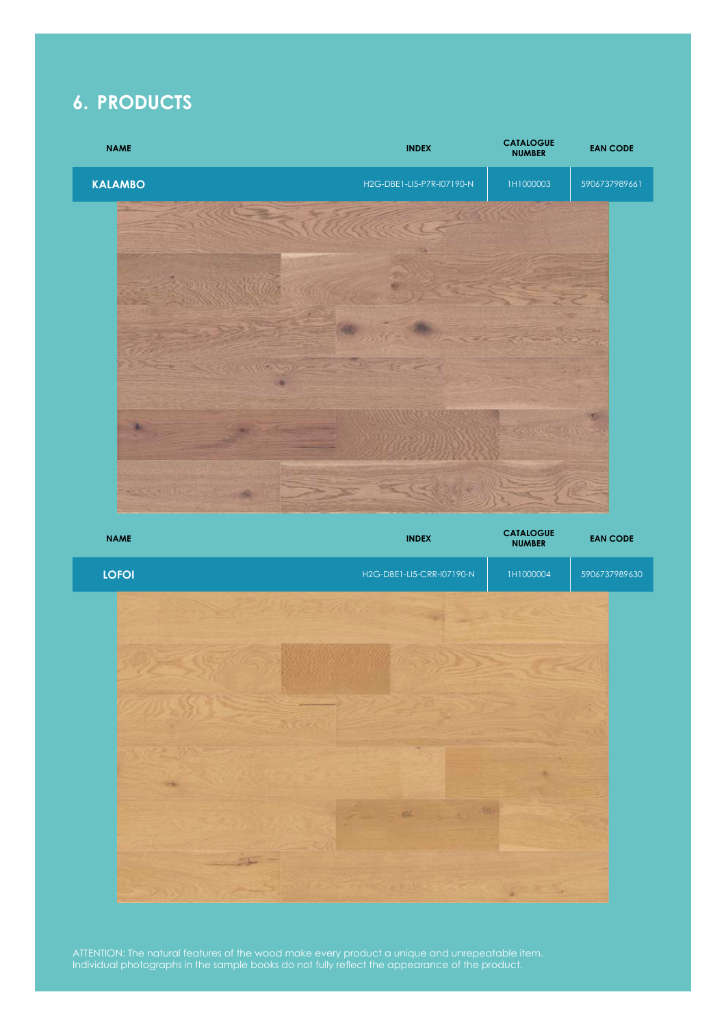

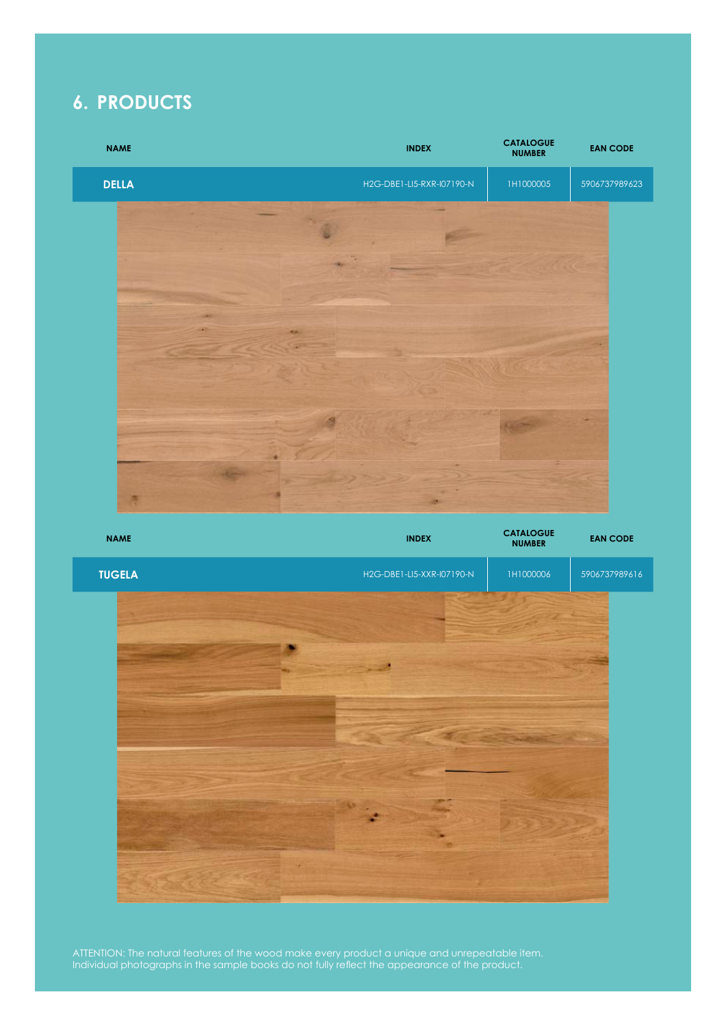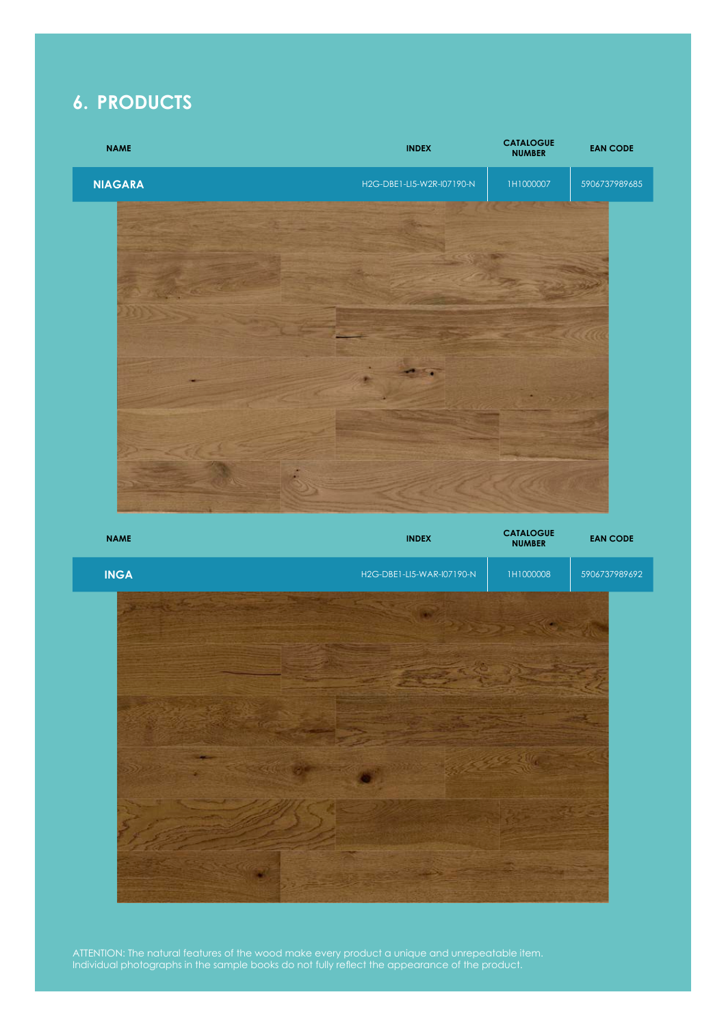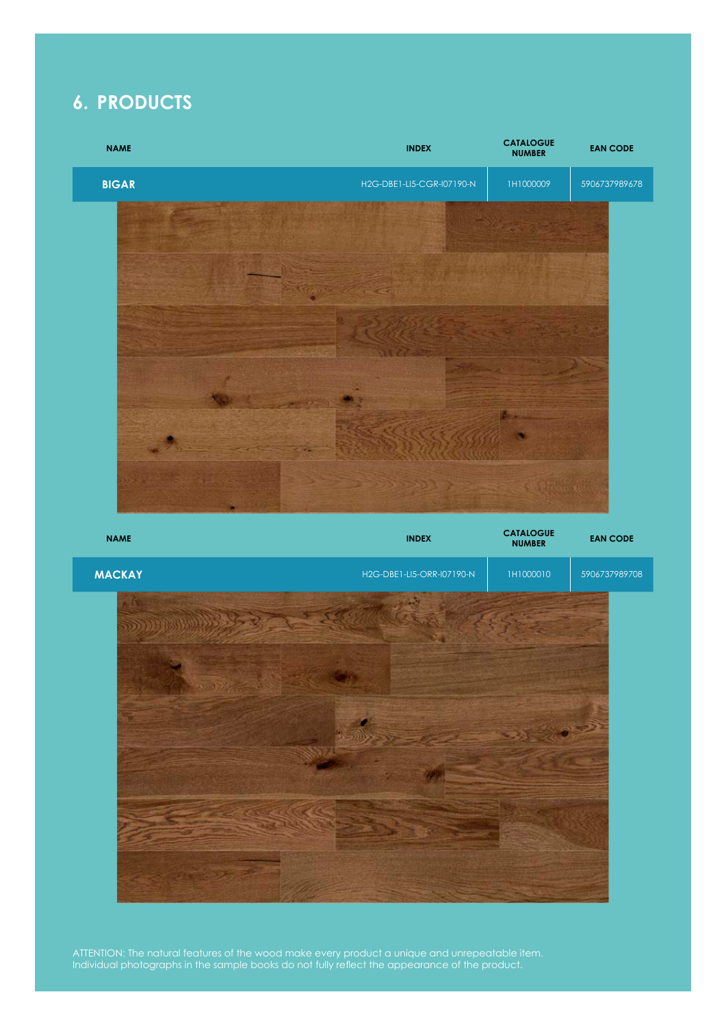